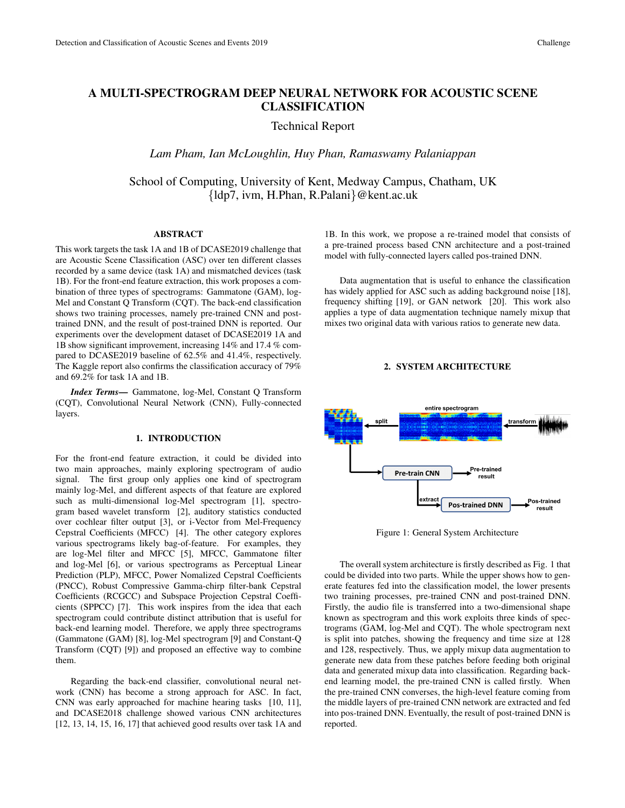# A MULTI-SPECTROGRAM DEEP NEURAL NETWORK FOR ACOUSTIC SCENE CLASSIFICATION

Technical Report

*Lam Pham, Ian McLoughlin, Huy Phan, Ramaswamy Palaniappan*

School of Computing, University of Kent, Medway Campus, Chatham, UK {ldp7, ivm, H.Phan, R.Palani}@kent.ac.uk

# ABSTRACT

This work targets the task 1A and 1B of DCASE2019 challenge that are Acoustic Scene Classification (ASC) over ten different classes recorded by a same device (task 1A) and mismatched devices (task 1B). For the front-end feature extraction, this work proposes a combination of three types of spectrograms: Gammatone (GAM), log-Mel and Constant Q Transform (CQT). The back-end classification shows two training processes, namely pre-trained CNN and posttrained DNN, and the result of post-trained DNN is reported. Our experiments over the development dataset of DCASE2019 1A and 1B show significant improvement, increasing 14% and 17.4 % compared to DCASE2019 baseline of 62.5% and 41.4%, respectively. The Kaggle report also confirms the classification accuracy of 79% and 69.2% for task 1A and 1B.

*Index Terms*— Gammatone, log-Mel, Constant Q Transform (CQT), Convolutional Neural Network (CNN), Fully-connected layers.

### 1. INTRODUCTION

For the front-end feature extraction, it could be divided into two main approaches, mainly exploring spectrogram of audio signal. The first group only applies one kind of spectrogram mainly log-Mel, and different aspects of that feature are explored such as multi-dimensional log-Mel spectrogram [1], spectrogram based wavelet transform [2], auditory statistics conducted over cochlear filter output [3], or i-Vector from Mel-Frequency Cepstral Coefficients (MFCC) [4]. The other category explores various spectrograms likely bag-of-feature. For examples, they are log-Mel filter and MFCC [5], MFCC, Gammatone filter and log-Mel [6], or various spectrograms as Perceptual Linear Prediction (PLP), MFCC, Power Nomalized Cepstral Coefficients (PNCC), Robust Compressive Gamma-chirp filter-bank Cepstral Coefficients (RCGCC) and Subspace Projection Cepstral Coefficients (SPPCC) [7]. This work inspires from the idea that each spectrogram could contribute distinct attribution that is useful for back-end learning model. Therefore, we apply three spectrograms (Gammatone (GAM) [8], log-Mel spectrogram [9] and Constant-Q Transform (CQT) [9]) and proposed an effective way to combine them.

Regarding the back-end classifier, convolutional neural network (CNN) has become a strong approach for ASC. In fact, CNN was early approached for machine hearing tasks [10, 11], and DCASE2018 challenge showed various CNN architectures [12, 13, 14, 15, 16, 17] that achieved good results over task 1A and 1B. In this work, we propose a re-trained model that consists of a pre-trained process based CNN architecture and a post-trained model with fully-connected layers called pos-trained DNN.

Data augmentation that is useful to enhance the classification has widely applied for ASC such as adding background noise [18], frequency shifting [19], or GAN network [20]. This work also applies a type of data augmentation technique namely mixup that mixes two original data with various ratios to generate new data.

# 2. SYSTEM ARCHITECTURE



Figure 1: General System Architecture

The overall system architecture is firstly described as Fig. 1 that could be divided into two parts. While the upper shows how to generate features fed into the classification model, the lower presents two training processes, pre-trained CNN and post-trained DNN. Firstly, the audio file is transferred into a two-dimensional shape known as spectrogram and this work exploits three kinds of spectrograms (GAM, log-Mel and CQT). The whole spectrogram next is split into patches, showing the frequency and time size at 128 and 128, respectively. Thus, we apply mixup data augmentation to generate new data from these patches before feeding both original data and generated mixup data into classification. Regarding backend learning model, the pre-trained CNN is called firstly. When the pre-trained CNN converses, the high-level feature coming from the middle layers of pre-trained CNN network are extracted and fed into pos-trained DNN. Eventually, the result of post-trained DNN is reported.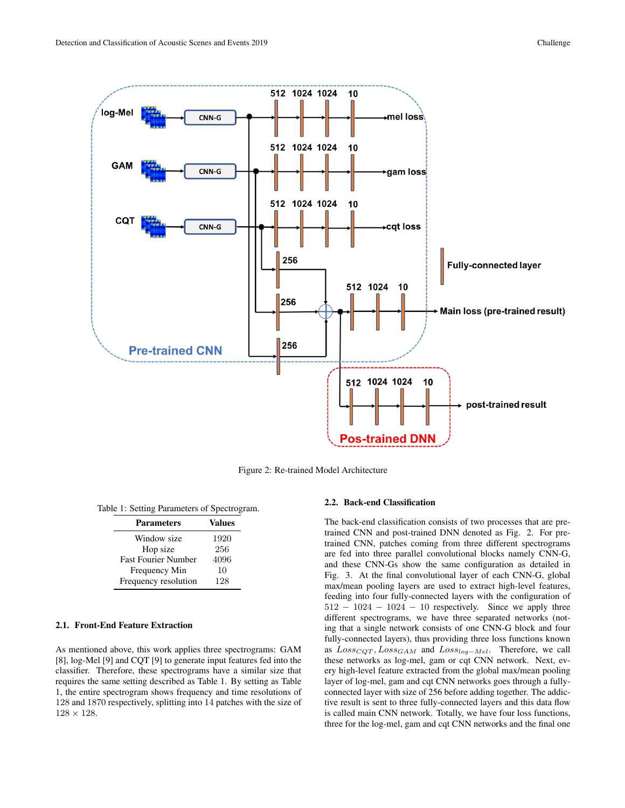

Figure 2: Re-trained Model Architecture

|  |  |  |  |  |  | Table 1: Setting Parameters of Spectrogram. |
|--|--|--|--|--|--|---------------------------------------------|
|--|--|--|--|--|--|---------------------------------------------|

| <b>Parameters</b>          | <b>Values</b> |
|----------------------------|---------------|
| Window size                | 1920          |
| Hop size                   | 256           |
| <b>Fast Fourier Number</b> | 4096          |
| Frequency Min              | 10            |
| Frequency resolution       | 128           |

# 2.1. Front-End Feature Extraction

As mentioned above, this work applies three spectrograms: GAM [8], log-Mel [9] and CQT [9] to generate input features fed into the classifier. Therefore, these spectrograms have a similar size that requires the same setting described as Table 1. By setting as Table 1, the entire spectrogram shows frequency and time resolutions of 128 and 1870 respectively, splitting into 14 patches with the size of  $128 \times 128$ .

#### 2.2. Back-end Classification

The back-end classification consists of two processes that are pretrained CNN and post-trained DNN denoted as Fig. 2. For pretrained CNN, patches coming from three different spectrograms are fed into three parallel convolutional blocks namely CNN-G, and these CNN-Gs show the same configuration as detailed in Fig. 3. At the final convolutional layer of each CNN-G, global max/mean pooling layers are used to extract high-level features, feeding into four fully-connected layers with the configuration of  $512 - 1024 - 1024 - 10$  respectively. Since we apply three different spectrograms, we have three separated networks (noting that a single network consists of one CNN-G block and four fully-connected layers), thus providing three loss functions known as  $Loss_{CQT}, Loss_{GAM}$  and  $Loss_{log-Mel}$ . Therefore, we call these networks as log-mel, gam or cqt CNN network. Next, every high-level feature extracted from the global max/mean pooling layer of log-mel, gam and cqt CNN networks goes through a fullyconnected layer with size of 256 before adding together. The addictive result is sent to three fully-connected layers and this data flow is called main CNN network. Totally, we have four loss functions, three for the log-mel, gam and cqt CNN networks and the final one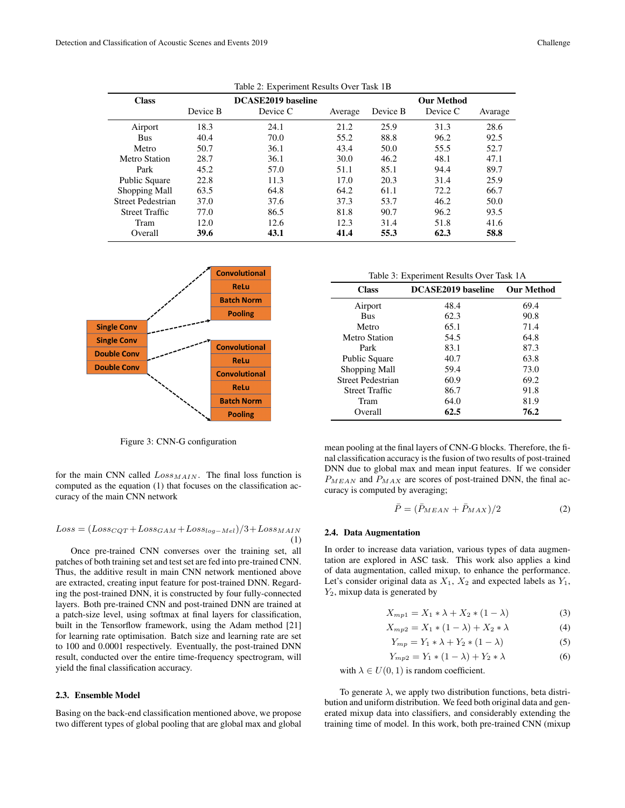| <b>Class</b>          |          | DCASE2019 baseline |         |          | <b>Our Method</b> |         |
|-----------------------|----------|--------------------|---------|----------|-------------------|---------|
|                       | Device B | Device C           | Average | Device B | Device C          | Avarage |
| Airport               | 18.3     | 24.1               | 21.2    | 25.9     | 31.3              | 28.6    |
| <b>Bus</b>            | 40.4     | 70.0               | 55.2    | 88.8     | 96.2              | 92.5    |
| Metro                 | 50.7     | 36.1               | 43.4    | 50.0     | 55.5              | 52.7    |
| Metro Station         | 28.7     | 36.1               | 30.0    | 46.2     | 48.1              | 47.1    |
| Park                  | 45.2     | 57.0               | 51.1    | 85.1     | 94.4              | 89.7    |
| <b>Public Square</b>  | 22.8     | 11.3               | 17.0    | 20.3     | 31.4              | 25.9    |
| Shopping Mall         | 63.5     | 64.8               | 64.2    | 61.1     | 72.2.             | 66.7    |
| Street Pedestrian     | 37.0     | 37.6               | 37.3    | 53.7     | 46.2              | 50.0    |
| <b>Street Traffic</b> | 77.0     | 86.5               | 81.8    | 90.7     | 96.2              | 93.5    |
| Tram                  | 12.0     | 12.6               | 12.3    | 31.4     | 51.8              | 41.6    |
| Overall               | 39.6     | 43.1               | 41.4    | 55.3     | 62.3              | 58.8    |

Table 2: Experiment Results Over Task 1B



Figure 3: CNN-G configuration

for the main CNN called  $Loss_{MAIN}$ . The final loss function is computed as the equation (1) that focuses on the classification accuracy of the main CNN network

## $Loss = (Loss_{CQT} + Loss_{GAM} + Loss_{log-Mel})/3 + Loss_{MAIN}$ (1)

Once pre-trained CNN converses over the training set, all patches of both training set and test set are fed into pre-trained CNN. Thus, the additive result in main CNN network mentioned above are extracted, creating input feature for post-trained DNN. Regarding the post-trained DNN, it is constructed by four fully-connected layers. Both pre-trained CNN and post-trained DNN are trained at a patch-size level, using softmax at final layers for classification, built in the Tensorflow framework, using the Adam method [21] for learning rate optimisation. Batch size and learning rate are set to 100 and 0.0001 respectively. Eventually, the post-trained DNN result, conducted over the entire time-frequency spectrogram, will yield the final classification accuracy.

# 2.3. Ensemble Model

Basing on the back-end classification mentioned above, we propose two different types of global pooling that are global max and global

| <b>Class</b>          | DCASE2019 baseline | <b>Our Method</b> |
|-----------------------|--------------------|-------------------|
| Airport               | 48.4               | 69.4              |
| <b>Bus</b>            | 62.3               | 90.8              |
| Metro                 | 65.1               | 71.4              |
| Metro Station         | 54.5               | 64.8              |
| Park                  | 83.1               | 87.3              |
| Public Square         | 40.7               | 63.8              |
| Shopping Mall         | 59.4               | 73.0              |
| Street Pedestrian     | 60.9               | 69.2              |
| <b>Street Traffic</b> | 86.7               | 91.8              |
| Tram                  | 64.0               | 81.9              |
| Overall               | 62.5               | 76.2              |

mean pooling at the final layers of CNN-G blocks. Therefore, the final classification accuracy is the fusion of two results of post-trained DNN due to global max and mean input features. If we consider  $P_{MEAN}$  and  $P_{MAX}$  are scores of post-trained DNN, the final accuracy is computed by averaging;

$$
\bar{P} = (\bar{P}_{MEAN} + \bar{P}_{MAX})/2 \tag{2}
$$

## 2.4. Data Augmentation

In order to increase data variation, various types of data augmentation are explored in ASC task. This work also applies a kind of data augmentation, called mixup, to enhance the performance. Let's consider original data as  $X_1$ ,  $X_2$  and expected labels as  $Y_1$ ,  $Y_2$ , mixup data is generated by

$$
X_{mp1} = X_1 * \lambda + X_2 * (1 - \lambda)
$$
 (3)

$$
X_{mp2} = X_1 * (1 - \lambda) + X_2 * \lambda \tag{4}
$$

$$
Y_{mp} = Y_1 * \lambda + Y_2 * (1 - \lambda)
$$
 (5)

$$
Y_{mp2} = Y_1 * (1 - \lambda) + Y_2 * \lambda \tag{6}
$$

with  $\lambda \in U(0, 1)$  is random coefficient.

To generate  $\lambda$ , we apply two distribution functions, beta distribution and uniform distribution. We feed both original data and generated mixup data into classifiers, and considerably extending the training time of model. In this work, both pre-trained CNN (mixup